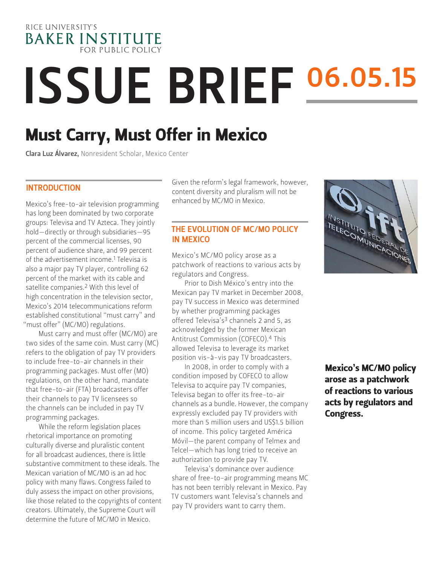

# ISSUE BRIEF 06.05.15

# Must Carry, Must Offer in Mexico

Clara Luz Álvarez, Nonresident Scholar, Mexico Center

#### INTRODUCTION

Mexico's free-to-air television programming has long been dominated by two corporate groups: Televisa and TV Azteca. They jointly hold—directly or through subsidiaries—95 percent of the commercial licenses, 90 percent of audience share, and 99 percent of the advertisement income.<sup>1</sup> Televisa is also a major pay TV player, controlling 62 percent of the market with its cable and satellite companies.2 With this level of high concentration in the television sector, Mexico's 2014 telecommunications reform established constitutional "must carry" and "must offer" (MC/MO) regulations.

Must carry and must offer (MC/MO) are two sides of the same coin. Must carry (MC) refers to the obligation of pay TV providers to include free-to-air channels in their programming packages. Must offer (MO) regulations, on the other hand, mandate that free-to-air (FTA) broadcasters offer their channels to pay TV licensees so the channels can be included in pay TV programming packages.

While the reform legislation places rhetorical importance on promoting culturally diverse and pluralistic content for all broadcast audiences, there is little substantive commitment to these ideals. The Mexican variation of MC/MO is an ad hoc policy with many flaws. Congress failed to duly assess the impact on other provisions, like those related to the copyrights of content creators. Ultimately, the Supreme Court will determine the future of MC/MO in Mexico.

Given the reform's legal framework, however, content diversity and pluralism will not be enhanced by MC/MO in Mexico.

#### THE EVOLUTION OF MC/MO POLICY IN MEXICO

Mexico's MC/MO policy arose as a patchwork of reactions to various acts by regulators and Congress.

Prior to Dish México's entry into the Mexican pay TV market in December 2008, pay TV success in Mexico was determined by whether programming packages offered Televisa's<sup>3</sup> channels 2 and 5, as acknowledged by the former Mexican Antitrust Commission (COFECO).4 This allowed Televisa to leverage its market position vis-à-vis pay TV broadcasters.

In 2008, in order to comply with a condition imposed by COFECO to allow Televisa to acquire pay TV companies, Televisa began to offer its free-to-air channels as a bundle. However, the company expressly excluded pay TV providers with more than 5 million users and US\$1.5 billion of income. This policy targeted América Móvil—the parent company of Telmex and Telcel—which has long tried to receive an authorization to provide pay TV.

Televisa's dominance over audience share of free-to-air programming means MC has not been terribly relevant in Mexico. Pay TV customers want Televisa's channels and pay TV providers want to carry them.



Mexico's MC/MO policy arose as a patchwork of reactions to various acts by regulators and Congress.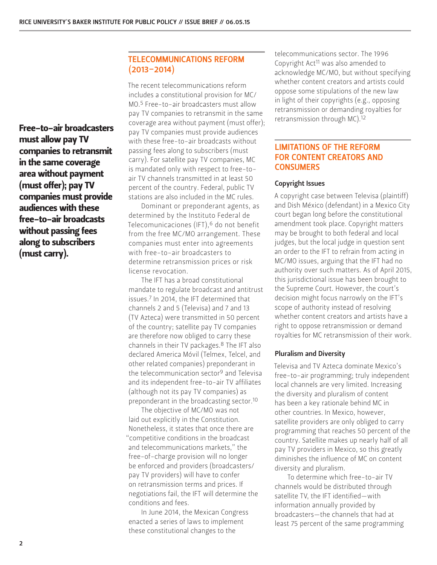Free-to-air broadcasters must allow pay TV companies to retransmit in the same coverage area without payment (must offer); pay TV companies must provide audiences with these free-to-air broadcasts without passing fees along to subscribers (must carry).

#### TELECOMMUNICATIONS REFORM  $(2013 - 2014)$

The recent telecommunications reform includes a constitutional provision for MC/ MO.5 Free-to-air broadcasters must allow pay TV companies to retransmit in the same coverage area without payment (must offer); pay TV companies must provide audiences with these free-to-air broadcasts without passing fees along to subscribers (must carry). For satellite pay TV companies, MC is mandated only with respect to free-toair TV channels transmitted in at least 50 percent of the country. Federal, public TV stations are also included in the MC rules.

Dominant or preponderant agents, as determined by the Instituto Federal de Telecomunicaciones (IFT),<sup>6</sup> do not benefit from the free MC/MO arrangement. These companies must enter into agreements with free-to-air broadcasters to determine retransmission prices or risk license revocation.

The IFT has a broad constitutional mandate to regulate broadcast and antitrust issues.7 In 2014, the IFT determined that channels 2 and 5 (Televisa) and 7 and 13 (TV Azteca) were transmitted in 50 percent of the country; satellite pay TV companies are therefore now obliged to carry these channels in their TV packages.8 The IFT also declared America Móvil (Telmex, Telcel, and other related companies) preponderant in the telecommunication sector<sup>9</sup> and Televisa and its independent free-to-air TV affiliates (although not its pay TV companies) as preponderant in the broadcasting sector.10

The objective of MC/MO was not laid out explicitly in the Constitution. Nonetheless, it states that once there are "competitive conditions in the broadcast and telecommunications markets," the free-of-charge provision will no longer be enforced and providers (broadcasters/ pay TV providers) will have to confer on retransmission terms and prices. If negotiations fail, the IFT will determine the conditions and fees.

In June 2014, the Mexican Congress enacted a series of laws to implement these constitutional changes to the

telecommunications sector. The 1996 Copyright Act11 was also amended to acknowledge MC/MO, but without specifying whether content creators and artists could oppose some stipulations of the new law in light of their copyrights (e.g., opposing retransmission or demanding royalties for retransmission through MC).12

#### LIMITATIONS OF THE REFORM FOR CONTENT CREATORS AND **CONSUMERS**

#### Copyright Issues

A copyright case between Televisa (plaintiff) and Dish México (defendant) in a Mexico City court began long before the constitutional amendment took place. Copyright matters may be brought to both federal and local judges, but the local judge in question sent an order to the IFT to refrain from acting in MC/MO issues, arguing that the IFT had no authority over such matters. As of April 2015, this jurisdictional issue has been brought to the Supreme Court. However, the court's decision might focus narrowly on the IFT's scope of authority instead of resolving whether content creators and artists have a right to oppose retransmission or demand royalties for MC retransmission of their work.

#### Pluralism and Diversity

Televisa and TV Azteca dominate Mexico's free-to-air programming; truly independent local channels are very limited. Increasing the diversity and pluralism of content has been a key rationale behind MC in other countries. In Mexico, however, satellite providers are only obliged to carry programming that reaches 50 percent of the country. Satellite makes up nearly half of all pay TV providers in Mexico, so this greatly diminishes the influence of MC on content diversity and pluralism.

To determine which free-to-air TV channels would be distributed through satellite TV, the IFT identified—with information annually provided by broadcasters—the channels that had at least 75 percent of the same programming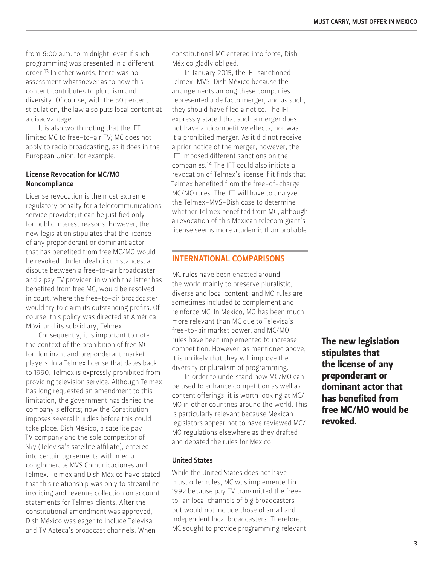from 6:00 a.m. to midnight, even if such programming was presented in a different order.13 In other words, there was no assessment whatsoever as to how this content contributes to pluralism and diversity. Of course, with the 50 percent stipulation, the law also puts local content at a disadvantage.

It is also worth noting that the IFT limited MC to free-to-air TV; MC does not apply to radio broadcasting, as it does in the European Union, for example.

#### License Revocation for MC/MO Noncompliance

License revocation is the most extreme regulatory penalty for a telecommunications service provider; it can be justified only for public interest reasons. However, the new legislation stipulates that the license of any preponderant or dominant actor that has benefited from free MC/MO would be revoked. Under ideal circumstances, a dispute between a free-to-air broadcaster and a pay TV provider, in which the latter has benefited from free MC, would be resolved in court, where the free-to-air broadcaster would try to claim its outstanding profits. Of course, this policy was directed at América Móvil and its subsidiary, Telmex.

Consequently, it is important to note the context of the prohibition of free MC for dominant and preponderant market players. In a Telmex license that dates back to 1990, Telmex is expressly prohibited from providing television service. Although Telmex has long requested an amendment to this limitation, the government has denied the company's efforts; now the Constitution imposes several hurdles before this could take place. Dish México, a satellite pay TV company and the sole competitor of Sky (Televisa's satellite affiliate), entered into certain agreements with media conglomerate MVS Comunicaciones and Telmex. Telmex and Dish México have stated that this relationship was only to streamline invoicing and revenue collection on account statements for Telmex clients. After the constitutional amendment was approved, Dish México was eager to include Televisa and TV Azteca's broadcast channels. When

constitutional MC entered into force, Dish México gladly obliged.

In January 2015, the IFT sanctioned Telmex-MVS-Dish México because the arrangements among these companies represented a de facto merger, and as such, they should have filed a notice. The IFT expressly stated that such a merger does not have anticompetitive effects, nor was it a prohibited merger. As it did not receive a prior notice of the merger, however, the IFT imposed different sanctions on the companies.14 The IFT could also initiate a revocation of Telmex's license if it finds that Telmex benefited from the free-of-charge MC/MO rules. The IFT will have to analyze the Telmex-MVS-Dish case to determine whether Telmex benefited from MC, although a revocation of this Mexican telecom giant's license seems more academic than probable.

#### INTERNATIONAL COMPARISONS

MC rules have been enacted around the world mainly to preserve pluralistic, diverse and local content, and MO rules are sometimes included to complement and reinforce MC. In Mexico, MO has been much more relevant than MC due to Televisa's free-to-air market power, and MC/MO rules have been implemented to increase competition. However, as mentioned above, it is unlikely that they will improve the diversity or pluralism of programming.

In order to understand how MC/MO can be used to enhance competition as well as content offerings, it is worth looking at MC/ MO in other countries around the world. This is particularly relevant because Mexican legislators appear not to have reviewed MC/ MO regulations elsewhere as they drafted and debated the rules for Mexico.

#### United States

While the United States does not have must offer rules, MC was implemented in 1992 because pay TV transmitted the freeto-air local channels of big broadcasters but would not include those of small and independent local broadcasters. Therefore, MC sought to provide programming relevant The new legislation stipulates that the license of any preponderant or dominant actor that has benefited from free MC/MO would be revoked.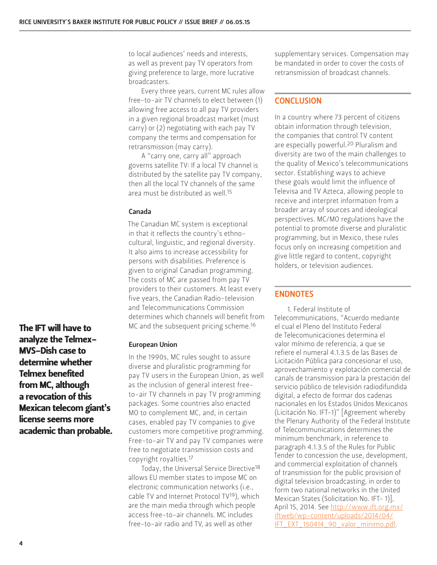to local audiences' needs and interests, as well as prevent pay TV operators from giving preference to large, more lucrative broadcasters.

Every three years, current MC rules allow free-to-air TV channels to elect between (1) allowing free access to all pay TV providers in a given regional broadcast market (must carry) or (2) negotiating with each pay TV company the terms and compensation for retransmission (may carry).

A "carry one, carry all" approach governs satellite TV: If a local TV channel is distributed by the satellite pay TV company, then all the local TV channels of the same area must be distributed as well.15

#### Canada

The Canadian MC system is exceptional in that it reflects the country's ethnocultural, linguistic, and regional diversity. It also aims to increase accessibility for persons with disabilities. Preference is given to original Canadian programming. The costs of MC are passed from pay TV providers to their customers. At least every five years, the Canadian Radio-television and Telecommunications Commission determines which channels will benefit from MC and the subsequent pricing scheme.<sup>16</sup>

#### European Union

In the 1990s, MC rules sought to assure diverse and pluralistic programming for pay TV users in the European Union, as well as the inclusion of general interest freeto-air TV channels in pay TV programming packages. Some countries also enacted MO to complement MC, and, in certain cases, enabled pay TV companies to give customers more competitive programming. Free-to-air TV and pay TV companies were free to negotiate transmission costs and copyright royalties.17

Today, the Universal Service Directive18 allows EU member states to impose MC on electronic communication networks (i.e., cable TV and Internet Protocol TV19), which are the main media through which people access free-to-air channels. MC includes free-to-air radio and TV, as well as other

supplementary services. Compensation may be mandated in order to cover the costs of retransmission of broadcast channels.

## **CONCLUSION**

In a country where 73 percent of citizens obtain information through television, the companies that control TV content are especially powerful.<sup>20</sup> Pluralism and diversity are two of the main challenges to the quality of Mexico's telecommunications sector. Establishing ways to achieve these goals would limit the influence of Televisa and TV Azteca, allowing people to receive and interpret information from a broader array of sources and ideological perspectives. MC/MO regulations have the potential to promote diverse and pluralistic programming, but in Mexico, these rules focus only on increasing competition and give little regard to content, copyright holders, or television audiences.

### ENDNOTES

1. Federal Institute of Telecommunications, "Acuerdo mediante el cual el Pleno del Instituto Federal de Telecomunicaciones determina el valor mínimo de referencia, a que se refiere el numeral 4.1.3.5 de las Bases de Licitación Pública para concesionar el uso, aprovechamiento y explotación comercial de canals de transmission para la prestación del servicio público de televisión radiodifundida digital, a efecto de formar dos cadenas nacionales en los Estados Unidos Mexicanos (Licitación No. IFT-1)" [Agreement whereby the Plenary Authority of the Federal Institute of Telecommunications determines the minimum benchmark, in reference to paragraph 4.1.3.5 of the Rules for Public Tender to concession the use, development, and commercial exploitation of channels of transmission for the public provision of digital television broadcasting, in order to form two national networks in the United Mexican States (Solicitation No. IFT- 1)], April 15, 2014. See [http://www.ift.org.mx/](http://www.ift.org.mx/iftweb/wp-content/uploads/2014/04/IFT_EXT_150414_90_valor_minimo.pdf) [iftweb/wp-content/uploads/2014/04/](http://www.ift.org.mx/iftweb/wp-content/uploads/2014/04/IFT_EXT_150414_90_valor_minimo.pdf) [IFT\\_EXT\\_150414\\_90\\_valor\\_minimo.pdf](http://www.ift.org.mx/iftweb/wp-content/uploads/2014/04/IFT_EXT_150414_90_valor_minimo.pdf).

The IFT will have to analyze the Telmex-MVS-Dish case to determine whether Telmex benefited from MC, although a revocation of this Mexican telecom giant's license seems more academic than probable.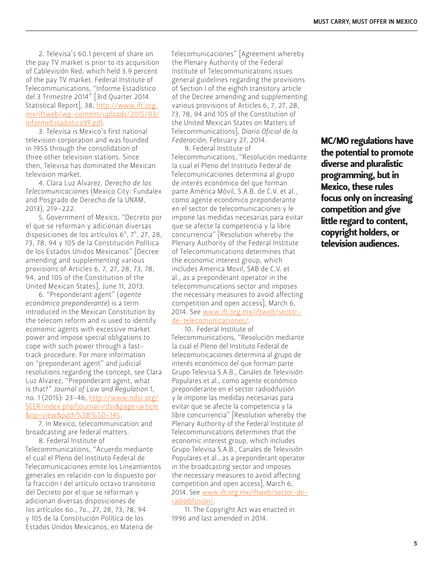2. Televisa's 60.1 percent of share on the pay TV market is prior to its acquisition of Cablevisión Red, which held 3.9 percent of the pay TV market. Federal Institute of Telecommunications, "Informe Estadístico del 3 Trimestre 2014" [3rd Quarter 2014 Statistical Report], 38, [http://www.ift.org.](http://www.ift.org.mx/iftweb/wp-content/uploads/2015/03/InformeEstadisticoVF.pdf) [mx/iftweb/wp-content/uploads/2015/03/](http://www.ift.org.mx/iftweb/wp-content/uploads/2015/03/InformeEstadisticoVF.pdf) [InformeEstadisticoVF.pdf.](http://www.ift.org.mx/iftweb/wp-content/uploads/2015/03/InformeEstadisticoVF.pdf)

3. Televisa is Mexico's first national television corporation and was founded in 1955 through the consolidation of three other television stations. Since then, Televisa has dominated the Mexican television market.

4. Clara Luz Alvarez, *Derecho de las Telecomunicaciones* (Mexico City: Fundalex and Posgrado de Derecho de la UNAM, 2013), 219–222.

5. Government of Mexico, "Decreto por el que se reforman y adicionan diversas disposiciones de los artículos 6º, 7º, 27, 28, 73, 78, 94 y 105 de la Constitución Política de los Estados Unidos Mexicanos" [Decree amending and supplementing various provisions of Articles 6, 7, 27, 28, 73, 78, 94, and 105 of the Constitution of the United Mexican States], June 11, 2013.

6. "Preponderant agent" (*agente económico preponderante*) is a term introduced in the Mexican Constitution by the telecom reform and is used to identify economic agents with excessive market power and impose special obligations to cope with such power through a fasttrack procedure. For more information on "preponderant agent" and judicial resolutions regarding the concept, see Clara Luz Alvarez, "Preponderant agent, what is that?" *Journal of Law and Regulation* 1, no. 1 (2015): 23-46, [http://www.ndsr.org/](http://www.ndsr.org/SEER/index.php?journal=rdsr&page=article&op=view&path%5B%5D=145) [SEER/index.php?journal=rdsr&page=article](http://www.ndsr.org/SEER/index.php?journal=rdsr&page=article&op=view&path%5B%5D=145) [&op=view&path%5B%5D=145.](http://www.ndsr.org/SEER/index.php?journal=rdsr&page=article&op=view&path%5B%5D=145)

7. In Mexico, telecommunication and broadcasting are federal matters.

8. Federal Institute of Telecommunications, "Acuerdo mediante el cual el Pleno del Instituto Federal de Telecomunicaciones emite los Lineamientos generales en relación con lo dispuesto por la fracción I del artículo octavo transitorio del Decreto por el que se reforman y adicionan diversas disposiciones de los artículos 6o., 7o., 27, 28, 73, 78, 94 y 105 de la Constitución Política de los Estados Unidos Mexicanos, en Materia de

Telecomunicaciones" [Agreement whereby the Plenary Authority of the Federal Institute of Telecommunications issues general guidelines regarding the provisions of Section I of the eighth transitory article of the Decree amending and supplementing various provisions of Articles 6, 7, 27, 28, 73, 78, 94 and 105 of the Constitution of the United Mexican States on Matters of Telecommunications], *Diario Oficial de la Federación*, February 27, 2014.

9. Federal Institute of Telecommunications, "Resolución mediante la cual el Pleno del Instituto Federal de Telecomunicaciones determina al grupo de interés económico del que forman parte América Móvil, S.A.B. de C.V. et al., como agente económico preponderante en el sector de telecomunicaciones y le impone las medidas necesarias para evitar que se afecte la competencia y la libre concurrencia" [Resolution whereby the Plenary Authority of the Federal Institute of Telecommunications determines that the economic interest group, which includes America Movil, SAB de C.V. et al., as a preponderant operator in the telecommunications sector and imposes the necessary measures to avoid affecting competition and open access], March 6, 2014. See [www.ift.org.mx/iftweb/sector](http://www.ift.org.mx/iftweb/sector-de-telecomunicaciones/)[de-telecomunicaciones/](http://www.ift.org.mx/iftweb/sector-de-telecomunicaciones/).

10. Federal Institute of Telecommunications, "Resolución mediante la cual el Pleno del Instituto Federal de telecomunicaciones determina al grupo de interés económico del que forman parte Grupo Televisa S.A.B., Canales de Televisión Populares et al., como agente económico preponderante en el sector radiodifusión y le impone las medidas necesarias para evitar que se afecte la competencia y la libre concurrencia" [Resolution whereby the Plenary Authority of the Federal Institute of Telecommunications determines that the economic interest group, which includes Grupo Televisa S.A.B., Canales de Televisión Populares et al., as a preponderant operator in the broadcasting sector and imposes the necessary measures to avoid affecting competition and open access], March 6, 2014. See [www.ift.org.mx/iftweb/sector-de](http://www.ift.org.mx/iftweb/sector-de-radiodifusion/)[radiodifusion/](http://www.ift.org.mx/iftweb/sector-de-radiodifusion/).

11. The Copyright Act was enacted in 1996 and last amended in 2014.

MC/MO regulations have the potential to promote diverse and pluralistic programming, but in Mexico, these rules focus only on increasing competition and give little regard to content, copyright holders, or television audiences.